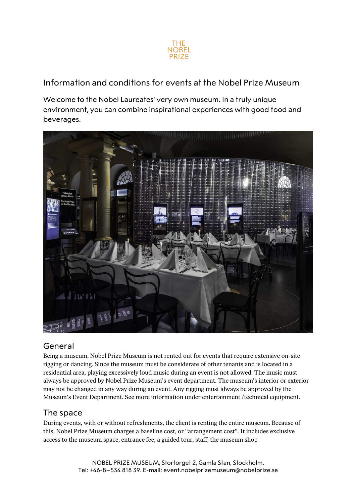

Information and conditions for events at the Nobel Prize Museum

Welcome to the Nobel Laureates' very own museum. In a truly unique environment, you can combine inspirational experiences with good food and beverages.



## General

Being a museum, Nobel Prize Museum is not rented out for events that require extensive on-site rigging or dancing. Since the museum must be considerate of other tenants and is located in a residential area, playing excessively loud music during an event is not allowed. The music must always be approved by Nobel Prize Museum's event department. The museum's interior or exterior may not be changed in any way during an event. Any rigging must always be approved by the Museum's Event Department. See more information under entertainment /technical equipment.

## The space

During events, with or without refreshments, the client is renting the entire museum. Because of this, Nobel Prize Museum charges a baseline cost, or "arrangement cost". It includes exclusive access to the museum space, entrance fee, a guided tour, staff, the museum shop

> NOBEL PRIZE MUSEUM, Stortorget 2, Gamla Stan, Stockholm. Tel: +46-8–534 818 39. E-mail: event.nobelprizemuseum@nobelprize.se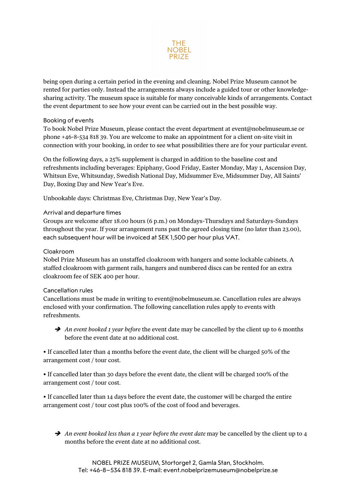

being open during a certain period in the evening and cleaning. Nobel Prize Museum cannot be rented for parties only. Instead the arrangements always include a guided tour or other knowledgesharing activity. The museum space is suitable for many conceivable kinds of arrangements. Contact the event department to see how your event can be carried out in the best possible way.

#### Booking of events

To book Nobel Prize Museum, please contact the event department at event@nobelmuseum.se or phone +46-8-534 818 39. You are welcome to make an appointment for a client on-site visit in connection with your booking, in order to see what possibilities there are for your particular event.

On the following days, a 25% supplement is charged in addition to the baseline cost and refreshments including beverages: Epiphany, Good Friday, Easter Monday, May 1, Ascension Day, Whitsun Eve, Whitsunday, Swedish National Day, Midsummer Eve, Midsummer Day, All Saints' Day, Boxing Day and New Year's Eve.

Unbookable days: Christmas Eve, Christmas Day, New Year's Day.

### Arrival and departure times

Groups are welcome after 18.00 hours (6 p.m.) on Mondays-Thursdays and Saturdays-Sundays throughout the year. If your arrangement runs past the agreed closing time (no later than 23.00), each subsequent hour will be invoiced at SEK 1,500 per hour plus VAT.

#### Cloakroom

Nobel Prize Museum has an unstaffed cloakroom with hangers and some lockable cabinets. A staffed cloakroom with garment rails, hangers and numbered discs can be rented for an extra cloakroom fee of SEK 400 per hour.

#### Cancellation rules

Cancellations must be made in writing to event@nobelmuseum.se. Cancellation rules are always enclosed with your confirmation. The following cancellation rules apply to events with refreshments.

**→** An event booked 1 year before the event date may be cancelled by the client up to 6 months before the event date at no additional cost.

• If cancelled later than 4 months before the event date, the client will be charged 50% of the arrangement cost / tour cost.

• If cancelled later than 30 days before the event date, the client will be charged 100% of the arrangement cost / tour cost.

• If cancelled later than 14 days before the event date, the customer will be charged the entire arrangement cost / tour cost plus 100% of the cost of food and beverages.

An event booked less than a 1 year before the event date may be cancelled by the client up to 4 months before the event date at no additional cost.

NOBEL PRIZE MUSEUM, Stortorget 2, Gamla Stan, Stockholm. Tel: +46-8–534 818 39. E-mail: event.nobelprizemuseum@nobelprize.se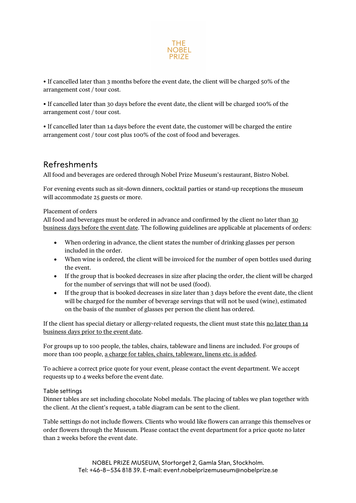

• If cancelled later than 3 months before the event date, the client will be charged 50% of the arrangement cost / tour cost.

• If cancelled later than 30 days before the event date, the client will be charged 100% of the arrangement cost / tour cost.

• If cancelled later than 14 days before the event date, the customer will be charged the entire arrangement cost / tour cost plus 100% of the cost of food and beverages.

# Refreshments

All food and beverages are ordered through Nobel Prize Museum's restaurant, Bistro Nobel.

For evening events such as sit-down dinners, cocktail parties or stand-up receptions the museum will accommodate 25 guests or more.

### Placement of orders

All food and beverages must be ordered in advance and confirmed by the client no later than 30 business days before the event date. The following guidelines are applicable at placements of orders:

- When ordering in advance, the client states the number of drinking glasses per person included in the order.
- When wine is ordered, the client will be invoiced for the number of open bottles used during the event.
- If the group that is booked decreases in size after placing the order, the client will be charged for the number of servings that will not be used (food).
- If the group that is booked decreases in size later than 3 days before the event date, the client will be charged for the number of beverage servings that will not be used (wine), estimated on the basis of the number of glasses per person the client has ordered.

If the client has special dietary or allergy-related requests, the client must state this no later than 14 business days prior to the event date.

For groups up to 100 people, the tables, chairs, tableware and linens are included. For groups of more than 100 people, a charge for tables, chairs, tableware, linens etc. is added.

To achieve a correct price quote for your event, please contact the event department. We accept requests up to 4 weeks before the event date.

#### Table settings

Dinner tables are set including chocolate Nobel medals. The placing of tables we plan together with the client. At the client's request, a table diagram can be sent to the client.

Table settings do not include flowers. Clients who would like flowers can arrange this themselves or order flowers through the Museum. Please contact the event department for a price quote no later than 2 weeks before the event date.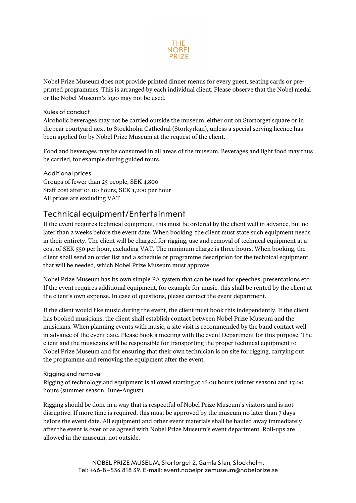

Nobel Prize Museum does not provide printed dinner menus for every guest, seating cards or preprinted programmes. This is arranged by each individual client. Please observe that the Nobel medal or the Nobel Museum's logo may not be used.

### Rules of conduct

Alcoholic beverages may not be carried outside the museum, either out on Stortorget square or in the rear courtyard next to Stockholm Cathedral (Storkyrkan), unless a special serving licence has been applied for by Nobel Prize Museum at the request of the client.

Food and beverages may be consumed in all areas of the museum. Beverages and light food may thus be carried, for example during guided tours.

Additional prices Groups of fewer than 25 people, SEK 4,800 Staff cost after 01.00 hours, SEK 1,200 per hour All prices are excluding VAT

# Technical equipment/Entertainment

If the event requires technical equipment, this must be ordered by the client well in advance, but no later than 2 weeks before the event date. When booking, the client must state such equipment needs in their entirety. The client will be charged for rigging, use and removal of technical equipment at a cost of SEK 550 per hour, excluding VAT. The minimum charge is three hours. When booking, the client shall send an order list and a schedule or programme description for the technical equipment that will be needed, which Nobel Prize Museum must approve.

Nobel Prize Museum has its own simple PA system that can be used for speeches, presentations etc. If the event requires additional equipment, for example for music, this shall be rented by the client at the client's own expense. In case of questions, please contact the event department.

If the client would like music during the event, the client must book this independently. If the client has booked musicians, the client shall establish contact between Nobel Prize Museum and the musicians. When planning events with music, a site visit is recommended by the band contact well in advance of the event date. Please book a meeting with the event Department for this purpose. The client and the musicians will be responsible for transporting the proper technical equipment to Nobel Prize Museum and for ensuring that their own technician is on site for rigging, carrying out the programme and removing the equipment after the event.

#### Rigging and removal

Rigging of technology and equipment is allowed starting at 16.00 hours (winter season) and 17.00 hours (summer season, June-August).

Rigging should be done in a way that is respectful of Nobel Prize Museum's visitors and is not disruptive. If more time is required, this must be approved by the museum no later than 7 days before the event date. All equipment and other event materials shall be hauled away immediately after the event is over or as agreed with Nobel Prize Museum's event department. Roll-ups are allowed in the museum, not outside.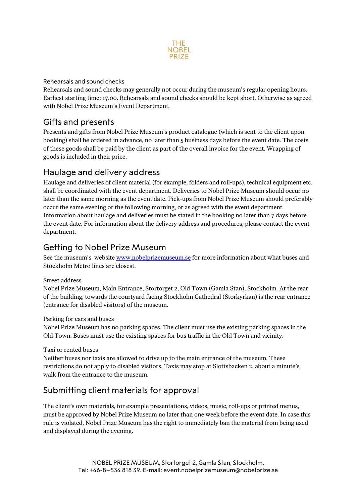

### Rehearsals and sound checks

Rehearsals and sound checks may generally not occur during the museum's regular opening hours. Earliest starting time: 17.00. Rehearsals and sound checks should be kept short. Otherwise as agreed with Nobel Prize Museum's Event Department.

## Gifts and presents

Presents and gifts from Nobel Prize Museum's product catalogue (which is sent to the client upon booking) shall be ordered in advance, no later than 5 business days before the event date. The costs of these goods shall be paid by the client as part of the overall invoice for the event. Wrapping of goods is included in their price.

## Haulage and delivery address

Haulage and deliveries of client material (for example, folders and roll-ups), technical equipment etc. shall be coordinated with the event department. Deliveries to Nobel Prize Museum should occur no later than the same morning as the event date. Pick-ups from Nobel Prize Museum should preferably occur the same evening or the following morning, or as agreed with the event department. Information about haulage and deliveries must be stated in the booking no later than 7 days before the event date. For information about the delivery address and procedures, please contact the event department.

# Getting to Nobel Prize Museum

See the museum's website www.nobelprizemuseum.se for more information about what buses and Stockholm Metro lines are closest.

### Street address

Nobel Prize Museum, Main Entrance, Stortorget 2, Old Town (Gamla Stan), Stockholm. At the rear of the building, towards the courtyard facing Stockholm Cathedral (Storkyrkan) is the rear entrance (entrance for disabled visitors) of the museum.

### Parking for cars and buses

Nobel Prize Museum has no parking spaces. The client must use the existing parking spaces in the Old Town. Buses must use the existing spaces for bus traffic in the Old Town and vicinity.

#### Taxi or rented buses

Neither buses nor taxis are allowed to drive up to the main entrance of the museum. These restrictions do not apply to disabled visitors. Taxis may stop at Slottsbacken 2, about a minute's walk from the entrance to the museum.

## Submitting client materials for approval

The client's own materials, for example presentations, videos, music, roll-ups or printed menus, must be approved by Nobel Prize Museum no later than one week before the event date. In case this rule is violated, Nobel Prize Museum has the right to immediately ban the material from being used and displayed during the evening.